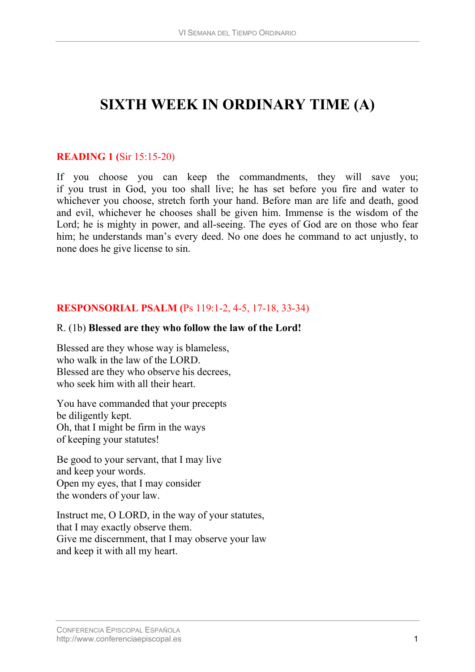# **SIXTH WEEK IN ORDINARY TIME (A)**

## **READING 1 (**[Sir 15:15-20\)](http://www.usccb.org/nab/bible/sirach/sirach15.htm#v15)

If you choose you can keep the commandments, they will save you; if you trust in God, you too shall live; he has set before you fire and water to whichever you choose, stretch forth your hand. Before man are life and death, good and evil, whichever he chooses shall be given him. Immense is the wisdom of the Lord; he is mighty in power, and all-seeing. The eyes of God are on those who fear him; he understands man's every deed. No one does he command to act unjustly, to none does he give license to sin.

## **RESPONSORIAL PSALM (**[Ps 119:1-2, 4-5, 17-18, 33-34](http://www.usccb.org/nab/bible/psalms/psalm119.htm#v1))

#### R. (1b) **Blessed are they who follow the law of the Lord!**

Blessed are they whose way is blameless, who walk in the law of the LORD. Blessed are they who observe his decrees, who seek him with all their heart.

You have commanded that your precepts be diligently kept. Oh, that I might be firm in the ways of keeping your statutes!

Be good to your servant, that I may live and keep your words. Open my eyes, that I may consider the wonders of your law.

Instruct me, O LORD, in the way of your statutes, that I may exactly observe them. Give me discernment, that I may observe your law and keep it with all my heart.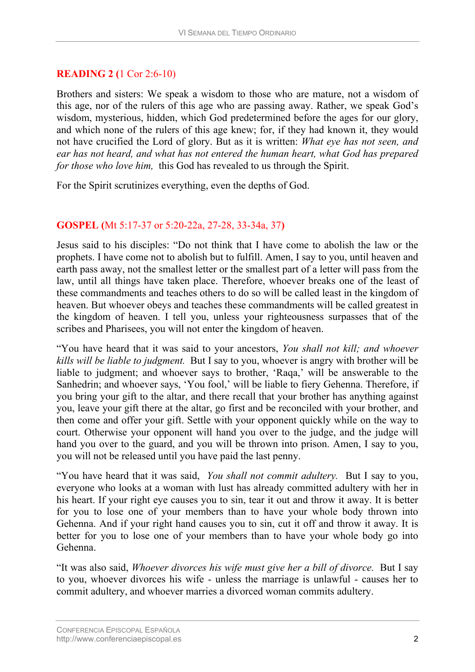# **READING 2 (**[1 Cor 2:6-10](http://www.usccb.org/nab/bible/1corinthians/1corinthians2.htm#v6))

Brothers and sisters: We speak a wisdom to those who are mature, not a wisdom of this age, nor of the rulers of this age who are passing away. Rather, we speak God's wisdom, mysterious, hidden, which God predetermined before the ages for our glory, and which none of the rulers of this age knew; for, if they had known it, they would not have crucified the Lord of glory. But as it is written: *What eye has not seen, and ear has not heard, and what has not entered the human heart, what God has prepared for those who love him,* this God has revealed to us through the Spirit.

For the Spirit scrutinizes everything, even the depths of God.

# **GOSPEL (**[Mt 5:17-37 or 5:20-22a, 27-28, 33-34a, 37](http://www.usccb.org/nab/bible/matthew/matthew5.htm#v17)**)**

Jesus said to his disciples: "Do not think that I have come to abolish the law or the prophets. I have come not to abolish but to fulfill. Amen, I say to you, until heaven and earth pass away, not the smallest letter or the smallest part of a letter will pass from the law, until all things have taken place. Therefore, whoever breaks one of the least of these commandments and teaches others to do so will be called least in the kingdom of heaven. But whoever obeys and teaches these commandments will be called greatest in the kingdom of heaven. I tell you, unless your righteousness surpasses that of the scribes and Pharisees, you will not enter the kingdom of heaven.

"You have heard that it was said to your ancestors, *You shall not kill; and whoever kills will be liable to judgment.* But I say to you, whoever is angry with brother will be liable to judgment; and whoever says to brother, 'Raqa,' will be answerable to the Sanhedrin; and whoever says, 'You fool,' will be liable to fiery Gehenna. Therefore, if you bring your gift to the altar, and there recall that your brother has anything against you, leave your gift there at the altar, go first and be reconciled with your brother, and then come and offer your gift. Settle with your opponent quickly while on the way to court. Otherwise your opponent will hand you over to the judge, and the judge will hand you over to the guard, and you will be thrown into prison. Amen, I say to you, you will not be released until you have paid the last penny.

"You have heard that it was said, *You shall not commit adultery.* But I say to you, everyone who looks at a woman with lust has already committed adultery with her in his heart. If your right eye causes you to sin, tear it out and throw it away. It is better for you to lose one of your members than to have your whole body thrown into Gehenna. And if your right hand causes you to sin, cut it off and throw it away. It is better for you to lose one of your members than to have your whole body go into Gehenna.

"It was also said, *Whoever divorces his wife must give her a bill of divorce.* But I say to you, whoever divorces his wife - unless the marriage is unlawful - causes her to commit adultery, and whoever marries a divorced woman commits adultery.